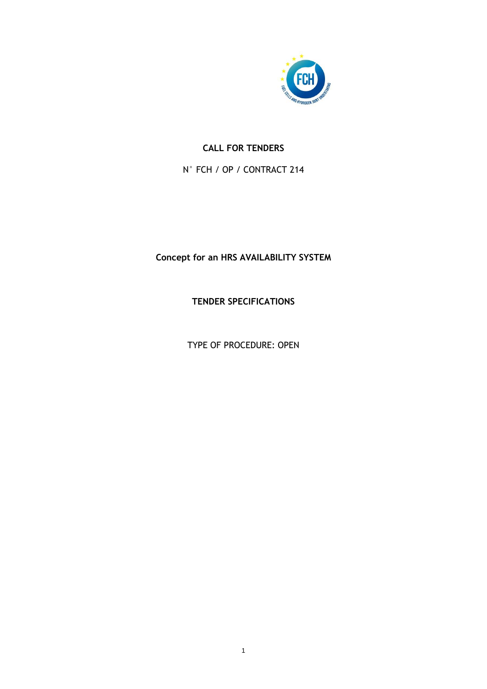

# **CALL FOR TENDERS**

N° FCH / OP / CONTRACT 214

# **Concept for an HRS AVAILABILITY SYSTEM**

**TENDER SPECIFICATIONS**

TYPE OF PROCEDURE: OPEN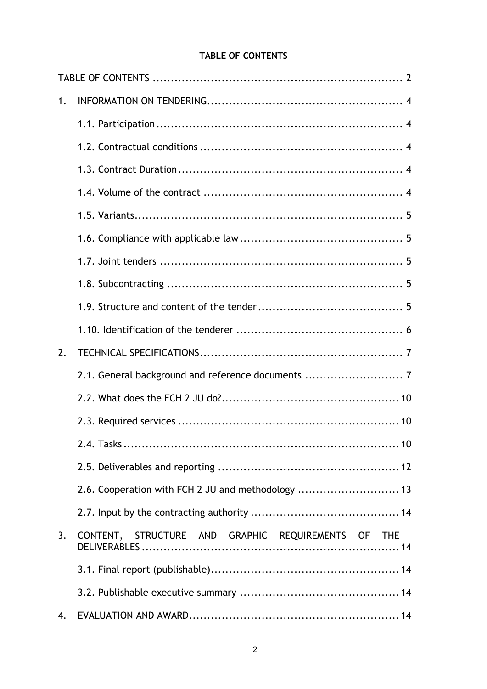# **TABLE OF CONTENTS**

<span id="page-1-0"></span>

| 1. |                                                    |
|----|----------------------------------------------------|
|    |                                                    |
|    |                                                    |
|    |                                                    |
|    |                                                    |
|    |                                                    |
|    |                                                    |
|    |                                                    |
|    |                                                    |
|    |                                                    |
|    |                                                    |
| 2. |                                                    |
|    | 2.1. General background and reference documents  7 |
|    |                                                    |
|    |                                                    |
|    |                                                    |
|    |                                                    |
|    | 2.6. Cooperation with FCH 2 JU and methodology  13 |
|    |                                                    |
| 3. | CONTENT, STRUCTURE AND GRAPHIC REQUIREMENTS OF THE |
|    |                                                    |
|    |                                                    |
| 4. |                                                    |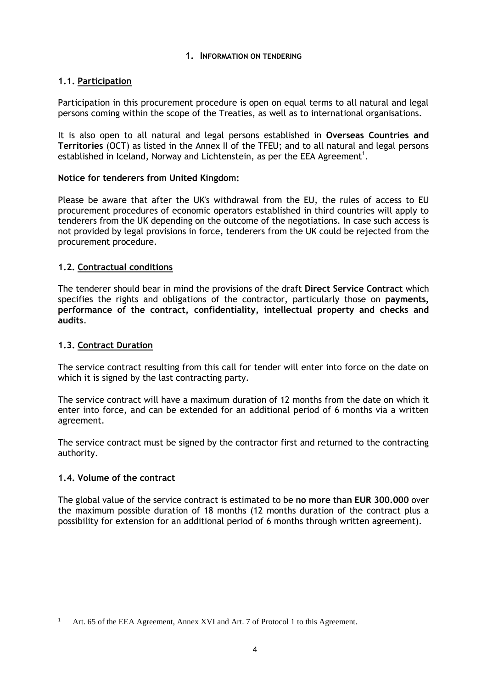### **1. INFORMATION ON TENDERING**

### <span id="page-3-1"></span><span id="page-3-0"></span>**1.1. Participation**

Participation in this procurement procedure is open on equal terms to all natural and legal persons coming within the scope of the Treaties, as well as to international organisations.

It is also open to all natural and legal persons established in **Overseas Countries and Territories** (OCT) as listed in the Annex II of the TFEU; and to all natural and legal persons established in Iceland, Norway and Lichtenstein, as per the EEA Agreement $^1\!.$ 

### **Notice for tenderers from United Kingdom:**

Please be aware that after the UK's withdrawal from the EU, the rules of access to EU procurement procedures of economic operators established in third countries will apply to tenderers from the UK depending on the outcome of the negotiations. In case such access is not provided by legal provisions in force, tenderers from the UK could be rejected from the procurement procedure.

### <span id="page-3-2"></span>**1.2. Contractual conditions**

The tenderer should bear in mind the provisions of the draft **Direct Service Contract** which specifies the rights and obligations of the contractor, particularly those on **payments, performance of the contract, confidentiality, intellectual property and checks and audits**.

### <span id="page-3-3"></span>**1.3. Contract Duration**

The service contract resulting from this call for tender will enter into force on the date on which it is signed by the last contracting party.

The service contract will have a maximum duration of 12 months from the date on which it enter into force, and can be extended for an additional period of 6 months via a written agreement.

The service contract must be signed by the contractor first and returned to the contracting authority.

#### <span id="page-3-4"></span>**1.4. Volume of the contract**

 $\overline{a}$ 

The global value of the service contract is estimated to be **no more than EUR 300.000** over the maximum possible duration of 18 months (12 months duration of the contract plus a possibility for extension for an additional period of 6 months through written agreement).

Art. 65 of the EEA Agreement, Annex XVI and Art. 7 of Protocol 1 to this Agreement.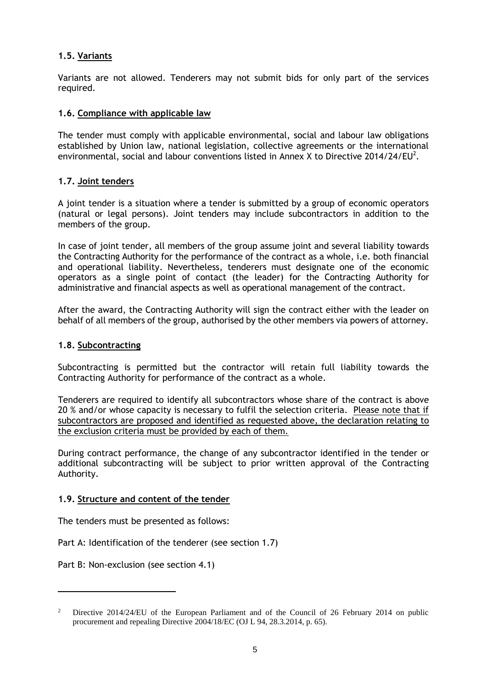### <span id="page-4-0"></span>**1.5. Variants**

Variants are not allowed. Tenderers may not submit bids for only part of the services required.

#### <span id="page-4-1"></span>**1.6. Compliance with applicable law**

The tender must comply with applicable environmental, social and labour law obligations established by Union law, national legislation, collective agreements or the international environmental, social and labour conventions listed in Annex X to Directive 2014/24/EU $^2$ .

#### <span id="page-4-2"></span>**1.7. Joint tenders**

A joint tender is a situation where a tender is submitted by a group of economic operators (natural or legal persons). Joint tenders may include subcontractors in addition to the members of the group.

In case of joint tender, all members of the group assume joint and several liability towards the Contracting Authority for the performance of the contract as a whole, i.e. both financial and operational liability. Nevertheless, tenderers must designate one of the economic operators as a single point of contact (the leader) for the Contracting Authority for administrative and financial aspects as well as operational management of the contract.

After the award, the Contracting Authority will sign the contract either with the leader on behalf of all members of the group, authorised by the other members via powers of attorney.

#### <span id="page-4-3"></span>**1.8. Subcontracting**

Subcontracting is permitted but the contractor will retain full liability towards the Contracting Authority for performance of the contract as a whole.

Tenderers are required to identify all subcontractors whose share of the contract is above 20 % and/or whose capacity is necessary to fulfil the selection criteria. Please note that if subcontractors are proposed and identified as requested above, the declaration relating to the exclusion criteria must be provided by each of them.

During contract performance, the change of any subcontractor identified in the tender or additional subcontracting will be subject to prior written approval of the Contracting Authority.

#### <span id="page-4-4"></span>**1.9. Structure and content of the tender**

The tenders must be presented as follows:

Part A: Identification of the tenderer (see section 1.7)

Part B: Non-exclusion (see section 4.1)

 $\overline{a}$ 

<sup>2</sup> Directive 2014/24/EU of the European Parliament and of the Council of 26 February 2014 on public procurement and repealing Directive 2004/18/EC (OJ L 94, 28.3.2014, p. 65).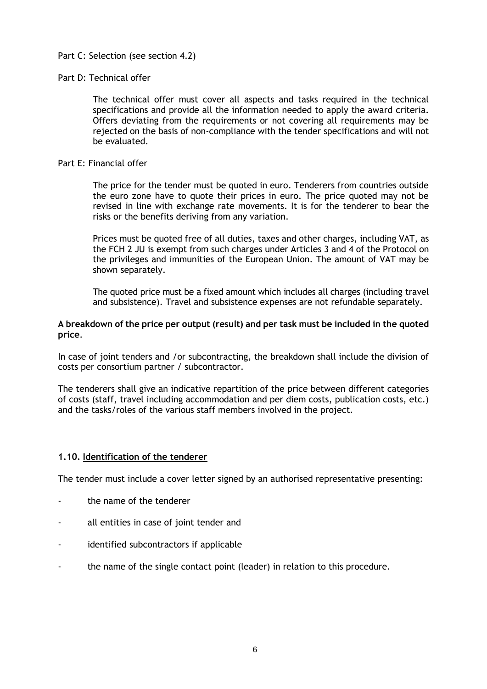#### Part C: Selection (see section 4.2)

#### Part D: Technical offer

The technical offer must cover all aspects and tasks required in the technical specifications and provide all the information needed to apply the award criteria. Offers deviating from the requirements or not covering all requirements may be rejected on the basis of non-compliance with the tender specifications and will not be evaluated.

#### Part E: Financial offer

The price for the tender must be quoted in euro. Tenderers from countries outside the euro zone have to quote their prices in euro. The price quoted may not be revised in line with exchange rate movements. It is for the tenderer to bear the risks or the benefits deriving from any variation.

Prices must be quoted free of all duties, taxes and other charges, including VAT, as the FCH 2 JU is exempt from such charges under Articles 3 and 4 of the Protocol on the privileges and immunities of the European Union. The amount of VAT may be shown separately.

The quoted price must be a fixed amount which includes all charges (including travel and subsistence). Travel and subsistence expenses are not refundable separately.

#### **A breakdown of the price per output (result) and per task must be included in the quoted price**.

In case of joint tenders and /or subcontracting, the breakdown shall include the division of costs per consortium partner / subcontractor.

The tenderers shall give an indicative repartition of the price between different categories of costs (staff, travel including accommodation and per diem costs, publication costs, etc.) and the tasks/roles of the various staff members involved in the project.

#### <span id="page-5-0"></span>**1.10. Identification of the tenderer**

The tender must include a cover letter signed by an authorised representative presenting:

- the name of the tenderer
- all entities in case of joint tender and
- identified subcontractors if applicable
- the name of the single contact point (leader) in relation to this procedure.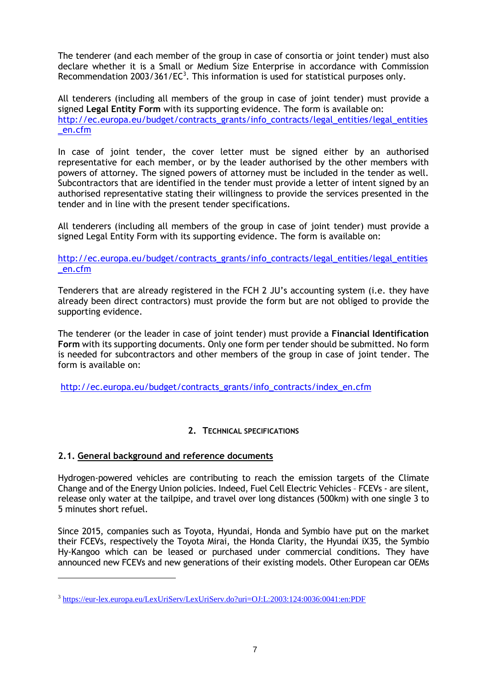The tenderer (and each member of the group in case of consortia or joint tender) must also declare whether it is a Small or Medium Size Enterprise in accordance with Commission Recommendation 2003/361/EC<sup>3</sup>. This information is used for statistical purposes only.

All tenderers (including all members of the group in case of joint tender) must provide a signed **Legal Entity Form** with its supporting evidence. The form is available on: [http://ec.europa.eu/budget/contracts\\_grants/info\\_contracts/legal\\_entities/legal\\_entities](http://ec.europa.eu/budget/contracts_grants/info_contracts/legal_entities/legal_entities_en.cfm) [\\_en.cfm](http://ec.europa.eu/budget/contracts_grants/info_contracts/legal_entities/legal_entities_en.cfm)

In case of joint tender, the cover letter must be signed either by an authorised representative for each member, or by the leader authorised by the other members with powers of attorney. The signed powers of attorney must be included in the tender as well. Subcontractors that are identified in the tender must provide a letter of intent signed by an authorised representative stating their willingness to provide the services presented in the tender and in line with the present tender specifications.

All tenderers (including all members of the group in case of joint tender) must provide a signed Legal Entity Form with its supporting evidence. The form is available on:

[http://ec.europa.eu/budget/contracts\\_grants/info\\_contracts/legal\\_entities/legal\\_entities](http://ec.europa.eu/budget/contracts_grants/info_contracts/legal_entities/legal_entities_en.cfm) [\\_en.cfm](http://ec.europa.eu/budget/contracts_grants/info_contracts/legal_entities/legal_entities_en.cfm)

Tenderers that are already registered in the FCH 2 JU's accounting system (i.e. they have already been direct contractors) must provide the form but are not obliged to provide the supporting evidence.

The tenderer (or the leader in case of joint tender) must provide a **Financial Identification Form** with its supporting documents. Only one form per tender should be submitted. No form is needed for subcontractors and other members of the group in case of joint tender. The form is available on:

[http://ec.europa.eu/budget/contracts\\_grants/info\\_contracts/index\\_en.cfm](http://ec.europa.eu/budget/contracts_grants/info_contracts/index_en.cfm)

### **2. TECHNICAL SPECIFICATIONS**

### <span id="page-6-1"></span><span id="page-6-0"></span>**2.1. General background and reference documents**

 $\overline{a}$ 

Hydrogen-powered vehicles are contributing to reach the emission targets of the Climate Change and of the Energy Union policies. Indeed, Fuel Cell Electric Vehicles – FCEVs - are silent, release only water at the tailpipe, and travel over long distances (500km) with one single 3 to 5 minutes short refuel.

Since 2015, companies such as Toyota, Hyundai, Honda and Symbio have put on the market their FCEVs, respectively the Toyota Mirai, the Honda Clarity, the Hyundai iX35, the Symbio Hy-Kangoo which can be leased or purchased under commercial conditions. They have announced new FCEVs and new generations of their existing models. Other European car OEMs

<sup>3</sup> <https://eur-lex.europa.eu/LexUriServ/LexUriServ.do?uri=OJ:L:2003:124:0036:0041:en:PDF>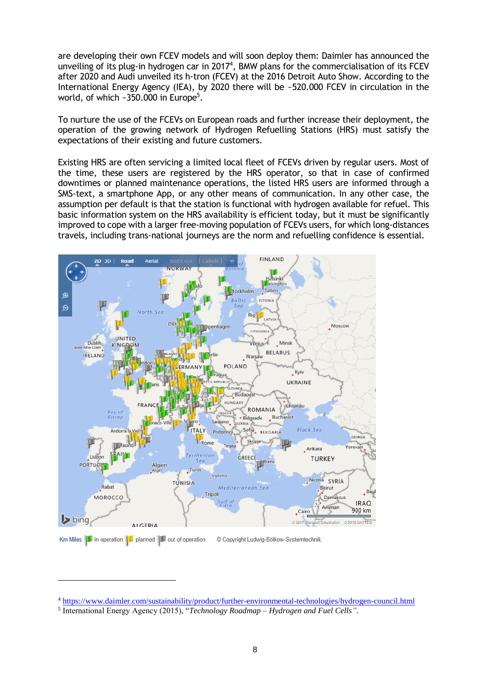are developing their own FCEV models and will soon deploy them: Daimler has announced the unveiling of its plug-in hydrogen car in 2017<sup>4</sup>, BMW plans for the commercialisation of its FCEV after 2020 and Audi unveiled its h-tron (FCEV) at the 2016 Detroit Auto Show. According to the International Energy Agency (IEA), by 2020 there will be ~520.000 FCEV in circulation in the world, of which ~350.000 in Europe<sup>5</sup>.

To nurture the use of the FCEVs on European roads and further increase their deployment, the operation of the growing network of Hydrogen Refuelling Stations (HRS) must satisfy the expectations of their existing and future customers.

Existing HRS are often servicing a limited local fleet of FCEVs driven by regular users. Most of the time, these users are registered by the HRS operator, so that in case of confirmed downtimes or planned maintenance operations, the listed HRS users are informed through a SMS-text, a smartphone App, or any other means of communication. In any other case, the assumption per default is that the station is functional with hydrogen available for refuel. This basic information system on the HRS availability is efficient today, but it must be significantly improved to cope with a larger free-moving population of FCEVs users, for which long-distances travels, including trans-national journeys are the norm and refuelling confidence is essential.



 $\overline{a}$ 

<sup>4</sup> <https://www.daimler.com/sustainability/product/further-environmental-technologies/hydrogen-council.html>

<sup>5</sup> International Energy Agency (2015), "*Technology Roadmap – Hydrogen and Fuel Cells"*.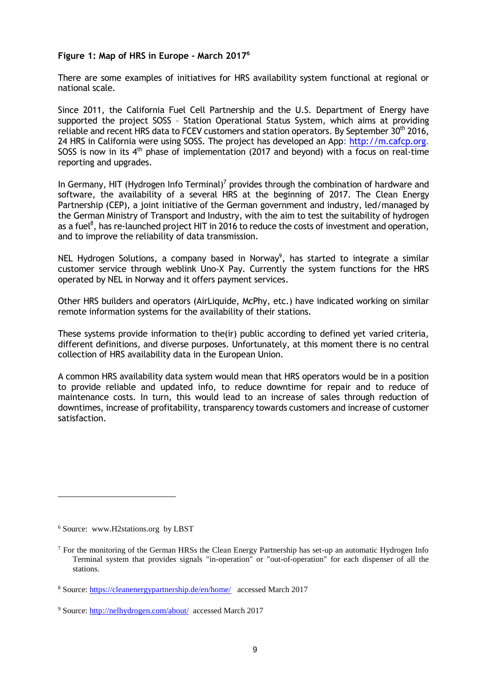#### **Figure 1: Map of HRS in Europe - March 2017<sup>6</sup>**

There are some examples of initiatives for HRS availability system functional at regional or national scale.

Since 2011, the California Fuel Cell Partnership and the U.S. Department of Energy have supported the project SOSS – Station Operational Status System, which aims at providing reliable and recent HRS data to FCEV customers and station operators. By September 30<sup>th</sup> 2016, 24 HRS in California were using SOSS. The project has developed an App: [http://m.cafcp.org.](http://m.cafcp.org/) SOSS is now in its  $4<sup>th</sup>$  phase of implementation (2017 and beyond) with a focus on real-time reporting and upgrades.

In Germany, HIT (Hydrogen Info Terminal)<sup>7</sup> provides through the combination of hardware and software, the availability of a several HRS at the beginning of 2017. The Clean Energy Partnership (CEP), a joint initiative of the German government and industry, led/managed by the German Ministry of Transport and Industry, with the aim to test the suitability of hydrogen as a fuel<sup>8</sup>, has re-launched project HIT in 2016 to reduce the costs of investment and operation, and to improve the reliability of data transmission.

NEL Hydrogen Solutions, a company based in Norway<sup>9</sup>, has started to integrate a similar customer service through weblink Uno-X Pay. Currently the system functions for the HRS operated by NEL in Norway and it offers payment services.

Other HRS builders and operators (AirLiquide, McPhy, etc.) have indicated working on similar remote information systems for the availability of their stations.

These systems provide information to the(ir) public according to defined yet varied criteria, different definitions, and diverse purposes. Unfortunately, at this moment there is no central collection of HRS availability data in the European Union.

A common HRS availability data system would mean that HRS operators would be in a position to provide reliable and updated info, to reduce downtime for repair and to reduce of maintenance costs. In turn, this would lead to an increase of sales through reduction of downtimes, increase of profitability, transparency towards customers and increase of customer satisfaction.

 $\overline{a}$ 

<sup>6</sup> Source: www.H2stations.org by LBST

<sup>7</sup> For the monitoring of the German HRSs the Clean Energy Partnership has set-up an automatic Hydrogen Info Terminal system that provides signals "in-operation" or "out-of-operation" for each dispenser of all the stations.

<sup>8</sup> Source[: https://cleanenergypartnership.de/en/home/](https://cleanenergypartnership.de/en/home/) accessed March 2017

<sup>9</sup> Source[: http://nelhydrogen.com/about/](http://nelhydrogen.com/about/) accessed March 2017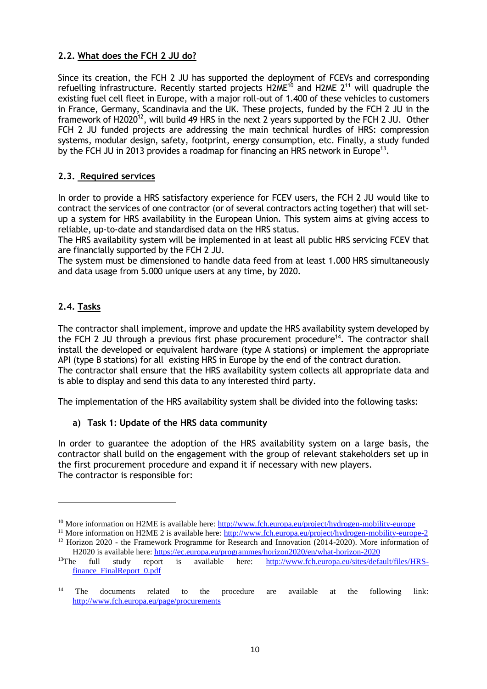### <span id="page-9-0"></span>**2.2. What does the FCH 2 JU do?**

Since its creation, the FCH 2 JU has supported the deployment of FCEVs and corresponding refuelling infrastructure. Recently started projects H2ME<sup>10</sup> and H2ME  $2^{11}$  will quadruple the existing fuel cell fleet in Europe, with a major roll-out of 1.400 of these vehicles to customers in France, Germany, Scandinavia and the UK. These projects, funded by the FCH 2 JU in the framework of H2020<sup>12</sup>, will build 49 HRS in the next 2 years supported by the FCH 2 JU. Other FCH 2 JU funded projects are addressing the main technical hurdles of HRS: compression systems, modular design, safety, footprint, energy consumption, etc. Finally, a study funded by the FCH JU in 2013 provides a roadmap for financing an HRS network in Europe<sup>13</sup>.

### <span id="page-9-1"></span>**2.3. Required services**

In order to provide a HRS satisfactory experience for FCEV users, the FCH 2 JU would like to contract the services of one contractor (or of several contractors acting together) that will setup a system for HRS availability in the European Union. This system aims at giving access to reliable, up-to-date and standardised data on the HRS status.

The HRS availability system will be implemented in at least all public HRS servicing FCEV that are financially supported by the FCH 2 JU.

The system must be dimensioned to handle data feed from at least 1.000 HRS simultaneously and data usage from 5.000 unique users at any time, by 2020.

### <span id="page-9-2"></span>**2.4. Tasks**

 $\overline{a}$ 

The contractor shall implement, improve and update the HRS availability system developed by the FCH 2 JU through a previous first phase procurement procedure<sup>14</sup>. The contractor shall install the developed or equivalent hardware (type A stations) or implement the appropriate API (type B stations) for all existing HRS in Europe by the end of the contract duration. The contractor shall ensure that the HRS availability system collects all appropriate data and is able to display and send this data to any interested third party.

The implementation of the HRS availability system shall be divided into the following tasks:

#### **a) Task 1: Update of the HRS data community**

In order to guarantee the adoption of the HRS availability system on a large basis, the contractor shall build on the engagement with the group of relevant stakeholders set up in the first procurement procedure and expand it if necessary with new players. The contractor is responsible for:

<sup>&</sup>lt;sup>10</sup> More information on H2ME is available here: <http://www.fch.europa.eu/project/hydrogen-mobility-europe>

<sup>&</sup>lt;sup>11</sup> More information on H2ME 2 is available here:<http://www.fch.europa.eu/project/hydrogen-mobility-europe-2> <sup>12</sup> Horizon 2020 - the Framework Programme for Research and Innovation (2014-2020). More information of H2020 is available here[: https://ec.europa.eu/programmes/horizon2020/en/what-horizon-2020](https://ec.europa.eu/programmes/horizon2020/en/what-horizon-2020)

<sup>&</sup>lt;sup>13</sup>The full study report is available here: [http://www.fch.europa.eu/sites/default/files/HRS](http://www.fch.europa.eu/sites/default/files/HRS-finance_FinalReport_0.pdf)[finance\\_FinalReport\\_0.pdf](http://www.fch.europa.eu/sites/default/files/HRS-finance_FinalReport_0.pdf)

<sup>&</sup>lt;sup>14</sup> The documents related to the procedure are available at the following link: <http://www.fch.europa.eu/page/procurements>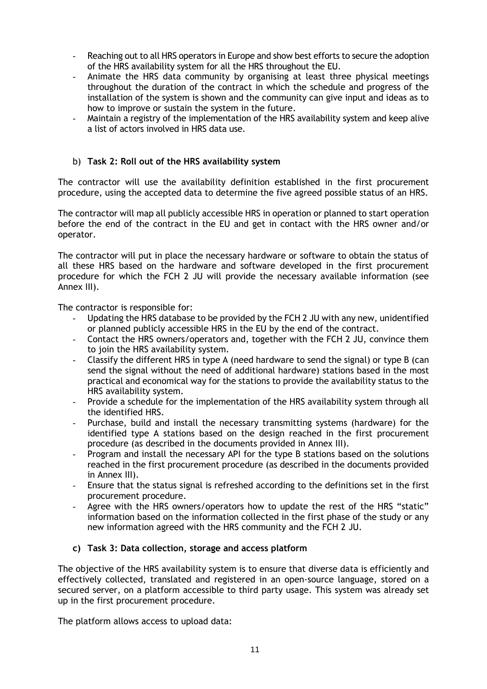- Reaching out to all HRS operators in Europe and show best efforts to secure the adoption of the HRS availability system for all the HRS throughout the EU.
- Animate the HRS data community by organising at least three physical meetings throughout the duration of the contract in which the schedule and progress of the installation of the system is shown and the community can give input and ideas as to how to improve or sustain the system in the future.
- Maintain a registry of the implementation of the HRS availability system and keep alive a list of actors involved in HRS data use.

### b) **Task 2: Roll out of the HRS availability system**

The contractor will use the availability definition established in the first procurement procedure, using the accepted data to determine the five agreed possible status of an HRS.

The contractor will map all publicly accessible HRS in operation or planned to start operation before the end of the contract in the EU and get in contact with the HRS owner and/or operator.

The contractor will put in place the necessary hardware or software to obtain the status of all these HRS based on the hardware and software developed in the first procurement procedure for which the FCH 2 JU will provide the necessary available information (see Annex III).

The contractor is responsible for:

- Updating the HRS database to be provided by the FCH 2 JU with any new, unidentified or planned publicly accessible HRS in the EU by the end of the contract.
- Contact the HRS owners/operators and, together with the FCH 2 JU, convince them to join the HRS availability system.
- Classify the different HRS in type A (need hardware to send the signal) or type B (can send the signal without the need of additional hardware) stations based in the most practical and economical way for the stations to provide the availability status to the HRS availability system.
- Provide a schedule for the implementation of the HRS availability system through all the identified HRS.
- Purchase, build and install the necessary transmitting systems (hardware) for the identified type A stations based on the design reached in the first procurement procedure (as described in the documents provided in Annex III).
- Program and install the necessary API for the type B stations based on the solutions reached in the first procurement procedure (as described in the documents provided in Annex III).
- Ensure that the status signal is refreshed according to the definitions set in the first procurement procedure.
- Agree with the HRS owners/operators how to update the rest of the HRS "static" information based on the information collected in the first phase of the study or any new information agreed with the HRS community and the FCH 2 JU.

#### **c) Task 3: Data collection, storage and access platform**

The objective of the HRS availability system is to ensure that diverse data is efficiently and effectively collected, translated and registered in an open-source language, stored on a secured server, on a platform accessible to third party usage. This system was already set up in the first procurement procedure.

The platform allows access to upload data: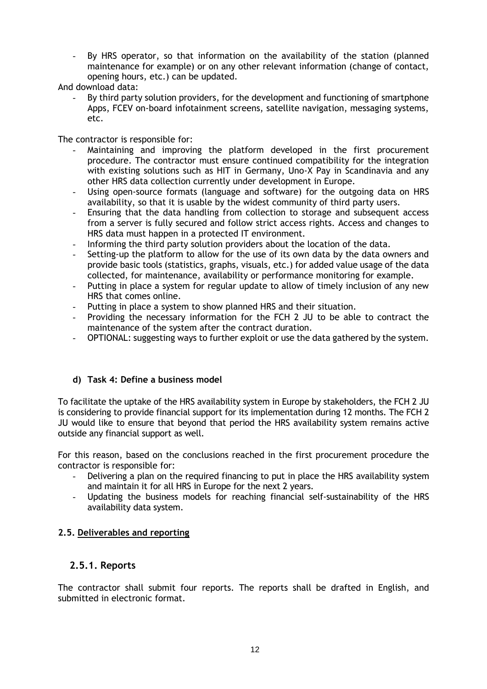By HRS operator, so that information on the availability of the station (planned maintenance for example) or on any other relevant information (change of contact, opening hours, etc.) can be updated.

And download data:

By third party solution providers, for the development and functioning of smartphone Apps, FCEV on-board infotainment screens, satellite navigation, messaging systems, etc.

The contractor is responsible for:

- Maintaining and improving the platform developed in the first procurement procedure. The contractor must ensure continued compatibility for the integration with existing solutions such as HIT in Germany, Uno-X Pay in Scandinavia and any other HRS data collection currently under development in Europe.
- Using open-source formats (language and software) for the outgoing data on HRS availability, so that it is usable by the widest community of third party users.
- Ensuring that the data handling from collection to storage and subsequent access from a server is fully secured and follow strict access rights. Access and changes to HRS data must happen in a protected IT environment.
- Informing the third party solution providers about the location of the data.
- Setting-up the platform to allow for the use of its own data by the data owners and provide basic tools (statistics, graphs, visuals, etc.) for added value usage of the data collected, for maintenance, availability or performance monitoring for example.
- Putting in place a system for regular update to allow of timely inclusion of any new HRS that comes online.
- Putting in place a system to show planned HRS and their situation.
- Providing the necessary information for the FCH 2 JU to be able to contract the maintenance of the system after the contract duration.
- OPTIONAL: suggesting ways to further exploit or use the data gathered by the system.

### **d) Task 4: Define a business model**

To facilitate the uptake of the HRS availability system in Europe by stakeholders, the FCH 2 JU is considering to provide financial support for its implementation during 12 months. The FCH 2 JU would like to ensure that beyond that period the HRS availability system remains active outside any financial support as well.

For this reason, based on the conclusions reached in the first procurement procedure the contractor is responsible for:

- Delivering a plan on the required financing to put in place the HRS availability system and maintain it for all HRS in Europe for the next 2 years.
- Updating the business models for reaching financial self-sustainability of the HRS availability data system.

#### <span id="page-11-0"></span>**2.5. Deliverables and reporting**

### **2.5.1. Reports**

The contractor shall submit four reports. The reports shall be drafted in English, and submitted in electronic format.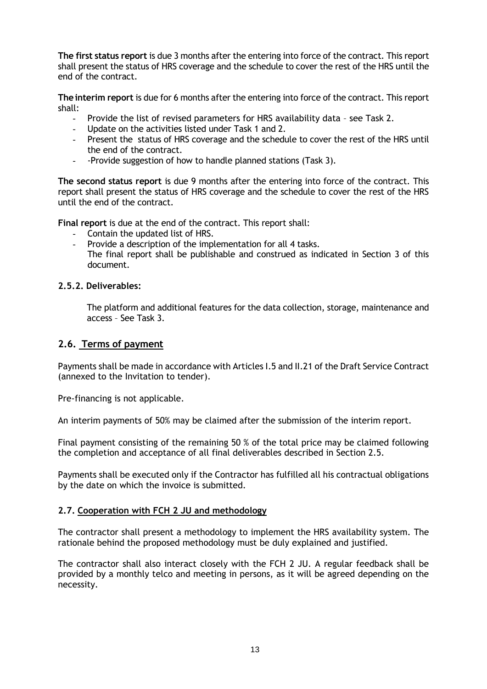**The first status report** is due 3 months after the entering into force of the contract. This report shall present the status of HRS coverage and the schedule to cover the rest of the HRS until the end of the contract.

**Theinterim report** is due for 6 months after the entering into force of the contract. This report shall:

- Provide the list of revised parameters for HRS availability data see Task 2.
- Update on the activities listed under Task 1 and 2.
- Present the status of HRS coverage and the schedule to cover the rest of the HRS until the end of the contract.
- -Provide suggestion of how to handle planned stations (Task 3).

**The second status report** is due 9 months after the entering into force of the contract. This report shall present the status of HRS coverage and the schedule to cover the rest of the HRS until the end of the contract.

**Final report** is due at the end of the contract. This report shall:

- Contain the updated list of HRS.
- Provide a description of the implementation for all 4 tasks. The final report shall be publishable and construed as indicated in Section 3 of this document.

### **2.5.2. Deliverables:**

The platform and additional features for the data collection, storage, maintenance and access – See Task 3.

### **2.6. Terms of payment**

Payments shall be made in accordance with Articles I.5 and II.21 of the Draft Service Contract (annexed to the Invitation to tender).

Pre-financing is not applicable.

An interim payments of 50% may be claimed after the submission of the interim report.

Final payment consisting of the remaining 50 % of the total price may be claimed following the completion and acceptance of all final deliverables described in Section 2.5.

Payments shall be executed only if the Contractor has fulfilled all his contractual obligations by the date on which the invoice is submitted.

#### <span id="page-12-0"></span>**2.7. Cooperation with FCH 2 JU and methodology**

The contractor shall present a methodology to implement the HRS availability system. The rationale behind the proposed methodology must be duly explained and justified.

The contractor shall also interact closely with the FCH 2 JU. A regular feedback shall be provided by a monthly telco and meeting in persons, as it will be agreed depending on the necessity.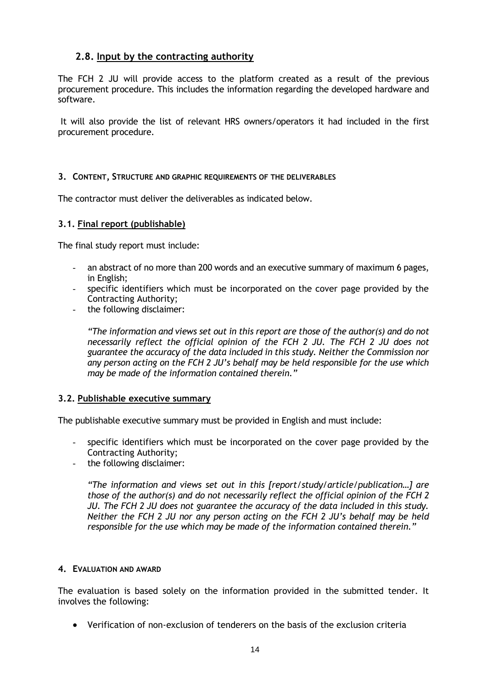## <span id="page-13-0"></span>**2.8. Input by the contracting authority**

The FCH 2 JU will provide access to the platform created as a result of the previous procurement procedure. This includes the information regarding the developed hardware and software.

It will also provide the list of relevant HRS owners/operators it had included in the first procurement procedure.

#### <span id="page-13-1"></span>**3. CONTENT, STRUCTURE AND GRAPHIC REQUIREMENTS OF THE DELIVERABLES**

The contractor must deliver the deliverables as indicated below.

#### <span id="page-13-2"></span>**3.1. Final report (publishable)**

The final study report must include:

- an abstract of no more than 200 words and an executive summary of maximum 6 pages, in English;
- specific identifiers which must be incorporated on the cover page provided by the Contracting Authority;
- the following disclaimer:

*"The information and views set out in this report are those of the author(s) and do not necessarily reflect the official opinion of the FCH 2 JU. The FCH 2 JU does not guarantee the accuracy of the data included in this study. Neither the Commission nor any person acting on the FCH 2 JU's behalf may be held responsible for the use which may be made of the information contained therein."* 

#### <span id="page-13-3"></span>**3.2. Publishable executive summary**

The publishable executive summary must be provided in English and must include:

- specific identifiers which must be incorporated on the cover page provided by the Contracting Authority;
- the following disclaimer:

*"The information and views set out in this [report/study/article/publication…] are those of the author(s) and do not necessarily reflect the official opinion of the FCH 2 JU. The FCH 2 JU does not guarantee the accuracy of the data included in this study. Neither the FCH 2 JU nor any person acting on the FCH 2 JU's behalf may be held responsible for the use which may be made of the information contained therein."* 

#### <span id="page-13-4"></span>**4. EVALUATION AND AWARD**

The evaluation is based solely on the information provided in the submitted tender. It involves the following:

Verification of non-exclusion of tenderers on the basis of the exclusion criteria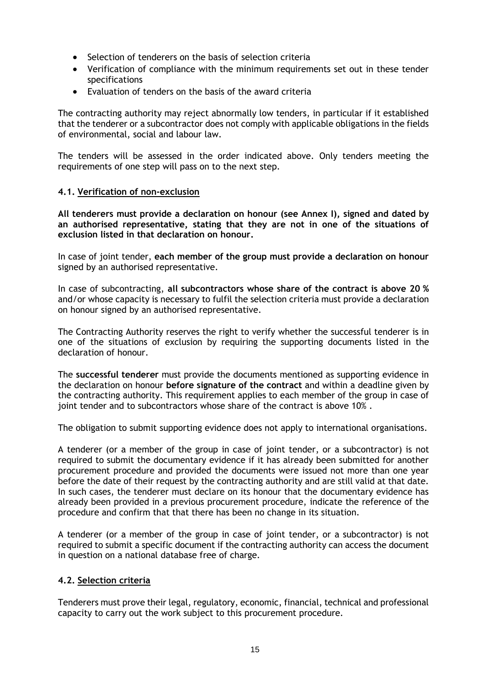- Selection of tenderers on the basis of selection criteria
- Verification of compliance with the minimum requirements set out in these tender specifications
- Evaluation of tenders on the basis of the award criteria

The contracting authority may reject abnormally low tenders, in particular if it established that the tenderer or a subcontractor does not comply with applicable obligations in the fields of environmental, social and labour law.

The tenders will be assessed in the order indicated above. Only tenders meeting the requirements of one step will pass on to the next step.

#### <span id="page-14-0"></span>**4.1. Verification of non-exclusion**

**All tenderers must provide a declaration on honour (see Annex I), signed and dated by an authorised representative, stating that they are not in one of the situations of exclusion listed in that declaration on honour.** 

In case of joint tender, **each member of the group must provide a declaration on honour** signed by an authorised representative.

In case of subcontracting, **all subcontractors whose share of the contract is above 20 %** and/or whose capacity is necessary to fulfil the selection criteria must provide a declaration on honour signed by an authorised representative.

The Contracting Authority reserves the right to verify whether the successful tenderer is in one of the situations of exclusion by requiring the supporting documents listed in the declaration of honour.

The **successful tenderer** must provide the documents mentioned as supporting evidence in the declaration on honour **before signature of the contract** and within a deadline given by the contracting authority. This requirement applies to each member of the group in case of joint tender and to subcontractors whose share of the contract is above 10% .

The obligation to submit supporting evidence does not apply to international organisations.

A tenderer (or a member of the group in case of joint tender, or a subcontractor) is not required to submit the documentary evidence if it has already been submitted for another procurement procedure and provided the documents were issued not more than one year before the date of their request by the contracting authority and are still valid at that date. In such cases, the tenderer must declare on its honour that the documentary evidence has already been provided in a previous procurement procedure, indicate the reference of the procedure and confirm that that there has been no change in its situation.

A tenderer (or a member of the group in case of joint tender, or a subcontractor) is not required to submit a specific document if the contracting authority can access the document in question on a national database free of charge.

#### <span id="page-14-1"></span>**4.2. Selection criteria**

Tenderers must prove their legal, regulatory, economic, financial, technical and professional capacity to carry out the work subject to this procurement procedure.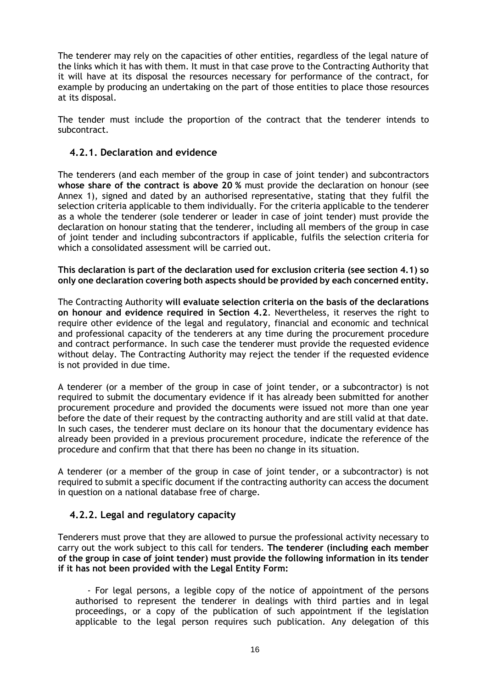The tenderer may rely on the capacities of other entities, regardless of the legal nature of the links which it has with them. It must in that case prove to the Contracting Authority that it will have at its disposal the resources necessary for performance of the contract, for example by producing an undertaking on the part of those entities to place those resources at its disposal.

The tender must include the proportion of the contract that the tenderer intends to subcontract.

### **4.2.1. Declaration and evidence**

The tenderers (and each member of the group in case of joint tender) and subcontractors **whose share of the contract is above 20 %** must provide the declaration on honour (see Annex 1), signed and dated by an authorised representative, stating that they fulfil the selection criteria applicable to them individually. For the criteria applicable to the tenderer as a whole the tenderer (sole tenderer or leader in case of joint tender) must provide the declaration on honour stating that the tenderer, including all members of the group in case of joint tender and including subcontractors if applicable, fulfils the selection criteria for which a consolidated assessment will be carried out.

**This declaration is part of the declaration used for exclusion criteria (see section 4.1) so only one declaration covering both aspects should be provided by each concerned entity.** 

The Contracting Authority **will evaluate selection criteria on the basis of the declarations on honour and evidence required in Section 4.2**. Nevertheless, it reserves the right to require other evidence of the legal and regulatory, financial and economic and technical and professional capacity of the tenderers at any time during the procurement procedure and contract performance. In such case the tenderer must provide the requested evidence without delay. The Contracting Authority may reject the tender if the requested evidence is not provided in due time.

A tenderer (or a member of the group in case of joint tender, or a subcontractor) is not required to submit the documentary evidence if it has already been submitted for another procurement procedure and provided the documents were issued not more than one year before the date of their request by the contracting authority and are still valid at that date. In such cases, the tenderer must declare on its honour that the documentary evidence has already been provided in a previous procurement procedure, indicate the reference of the procedure and confirm that that there has been no change in its situation.

A tenderer (or a member of the group in case of joint tender, or a subcontractor) is not required to submit a specific document if the contracting authority can access the document in question on a national database free of charge.

### **4.2.2. Legal and regulatory capacity**

Tenderers must prove that they are allowed to pursue the professional activity necessary to carry out the work subject to this call for tenders. **The tenderer (including each member of the group in case of joint tender) must provide the following information in its tender if it has not been provided with the Legal Entity Form:** 

- For legal persons, a legible copy of the notice of appointment of the persons authorised to represent the tenderer in dealings with third parties and in legal proceedings, or a copy of the publication of such appointment if the legislation applicable to the legal person requires such publication. Any delegation of this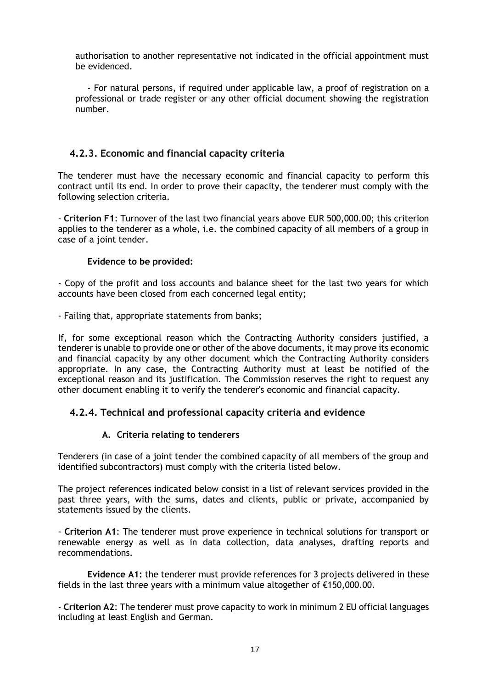authorisation to another representative not indicated in the official appointment must be evidenced.

- For natural persons, if required under applicable law, a proof of registration on a professional or trade register or any other official document showing the registration number.

### **4.2.3. Economic and financial capacity criteria**

The tenderer must have the necessary economic and financial capacity to perform this contract until its end. In order to prove their capacity, the tenderer must comply with the following selection criteria.

- **Criterion F1**: Turnover of the last two financial years above EUR 500,000.00; this criterion applies to the tenderer as a whole, i.e. the combined capacity of all members of a group in case of a joint tender.

#### **Evidence to be provided:**

- Copy of the profit and loss accounts and balance sheet for the last two years for which accounts have been closed from each concerned legal entity;

- Failing that, appropriate statements from banks;

If, for some exceptional reason which the Contracting Authority considers justified, a tenderer is unable to provide one or other of the above documents, it may prove its economic and financial capacity by any other document which the Contracting Authority considers appropriate. In any case, the Contracting Authority must at least be notified of the exceptional reason and its justification. The Commission reserves the right to request any other document enabling it to verify the tenderer's economic and financial capacity.

### **4.2.4. Technical and professional capacity criteria and evidence**

#### **A. Criteria relating to tenderers**

Tenderers (in case of a joint tender the combined capacity of all members of the group and identified subcontractors) must comply with the criteria listed below.

The project references indicated below consist in a list of relevant services provided in the past three years, with the sums, dates and clients, public or private, accompanied by statements issued by the clients.

- **Criterion A1**: The tenderer must prove experience in technical solutions for transport or renewable energy as well as in data collection, data analyses, drafting reports and recommendations.

**Evidence A1:** the tenderer must provide references for 3 projects delivered in these fields in the last three years with a minimum value altogether of  $\epsilon$ 150,000.00.

- **Criterion A2**: The tenderer must prove capacity to work in minimum 2 EU official languages including at least English and German.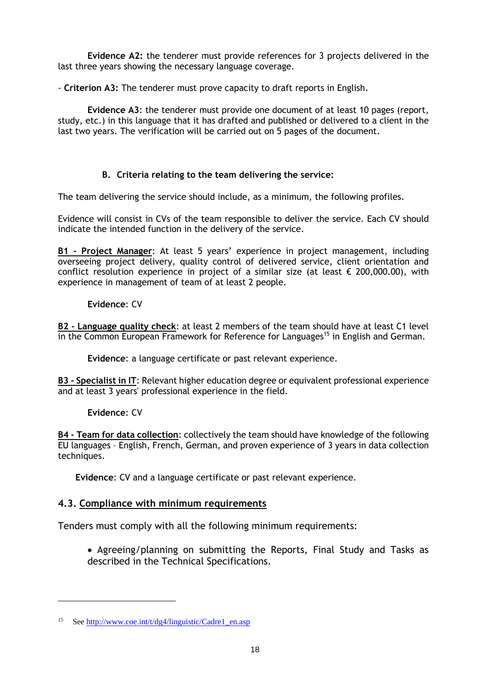**Evidence A2:** the tenderer must provide references for 3 projects delivered in the last three years showing the necessary language coverage.

- **Criterion A3:** The tenderer must prove capacity to draft reports in English.

**Evidence A3**: the tenderer must provide one document of at least 10 pages (report, study, etc.) in this language that it has drafted and published or delivered to a client in the last two years. The verification will be carried out on 5 pages of the document.

# **B. Criteria relating to the team delivering the service:**

The team delivering the service should include, as a minimum, the following profiles.

Evidence will consist in CVs of the team responsible to deliver the service. Each CV should indicate the intended function in the delivery of the service.

**B1 - Project Manager**: At least 5 years' experience in project management, including overseeing project delivery, quality control of delivered service, client orientation and conflict resolution experience in project of a similar size (at least  $\epsilon$  200,000.00), with experience in management of team of at least 2 people.

## **Evidence**: CV

**B2 - Language quality check**: at least 2 members of the team should have at least C1 level in the Common European Framework for Reference for Languages<sup>15</sup> in English and German.

**Evidence**: a language certificate or past relevant experience.

**B3 - Specialist in IT**: Relevant higher education degree or equivalent professional experience and at least 3 years' professional experience in the field.

### **Evidence**: CV

 $\overline{a}$ 

**B4 - Team for data collection**: collectively the team should have knowledge of the following EU languages – English, French, German, and proven experience of 3 years in data collection techniques.

**Evidence**: CV and a language certificate or past relevant experience.

### <span id="page-17-0"></span>**4.3. Compliance with minimum requirements**

Tenders must comply with all the following minimum requirements:

• Agreeing/planning on submitting the Reports, Final Study and Tasks as described in the Technical Specifications.

<sup>&</sup>lt;sup>15</sup> Se[e http://www.coe.int/t/dg4/linguistic/Cadre1\\_en.asp](http://www.coe.int/t/dg4/linguistic/Cadre1_en.asp)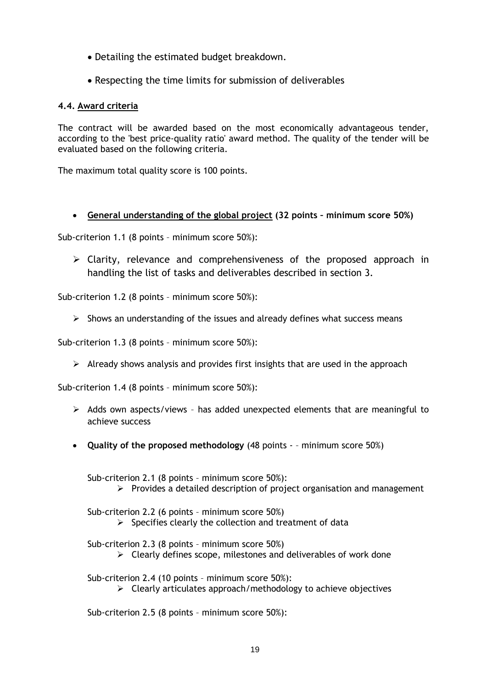- Detailing the estimated budget breakdown.
- Respecting the time limits for submission of deliverables

### <span id="page-18-0"></span>**4.4. Award criteria**

The contract will be awarded based on the most economically advantageous tender, according to the 'best price-quality ratio' award method. The quality of the tender will be evaluated based on the following criteria.

The maximum total quality score is 100 points.

### **General understanding of the global project (32 points – minimum score 50%)**

Sub-criterion 1.1 (8 points – minimum score 50%):

 $\triangleright$  Clarity, relevance and comprehensiveness of the proposed approach in handling the list of tasks and deliverables described in section 3.

Sub-criterion 1.2 (8 points – minimum score 50%):

 $\triangleright$  Shows an understanding of the issues and already defines what success means

Sub-criterion 1.3 (8 points – minimum score 50%):

 $\triangleright$  Already shows analysis and provides first insights that are used in the approach

Sub-criterion 1.4 (8 points – minimum score 50%):

- $\triangleright$  Adds own aspects/views has added unexpected elements that are meaningful to achieve success
- **Quality of the proposed methodology** (48 points – minimum score 50%)

Sub-criterion 2.1 (8 points – minimum score 50%):  $\triangleright$  Provides a detailed description of project organisation and management

Sub-criterion 2.2 (6 points – minimum score 50%)

 $\triangleright$  Specifies clearly the collection and treatment of data

Sub-criterion 2.3 (8 points – minimum score 50%)

 $\triangleright$  Clearly defines scope, milestones and deliverables of work done

Sub-criterion 2.4 (10 points – minimum score 50%):

 $\triangleright$  Clearly articulates approach/methodology to achieve objectives

Sub-criterion 2.5 (8 points – minimum score 50%):